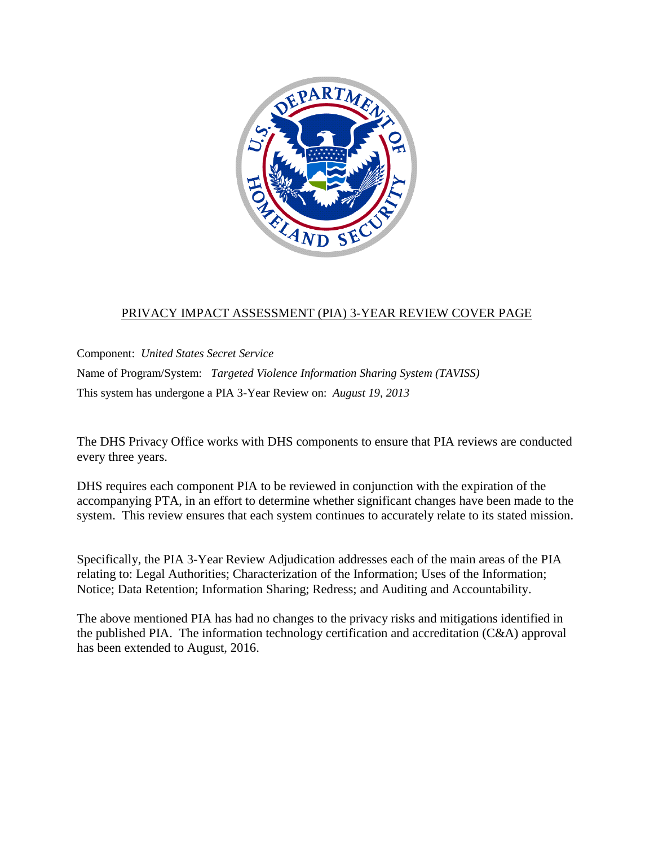

#### PRIVACY IMPACT ASSESSMENT (PIA) 3-YEAR REVIEW COVER PAGE

Component: *United States Secret Service*  Name of Program/System: *Targeted Violence Information Sharing System (TAVISS)* This system has undergone a PIA 3-Year Review on: *August 19, 2013*

The DHS Privacy Office works with DHS components to ensure that PIA reviews are conducted every three years.

DHS requires each component PIA to be reviewed in conjunction with the expiration of the accompanying PTA, in an effort to determine whether significant changes have been made to the system. This review ensures that each system continues to accurately relate to its stated mission.

Specifically, the PIA 3-Year Review Adjudication addresses each of the main areas of the PIA relating to: Legal Authorities; Characterization of the Information; Uses of the Information; Notice; Data Retention; Information Sharing; Redress; and Auditing and Accountability.

The above mentioned PIA has had no changes to the privacy risks and mitigations identified in the published PIA. The information technology certification and accreditation (C&A) approval has been extended to August, 2016.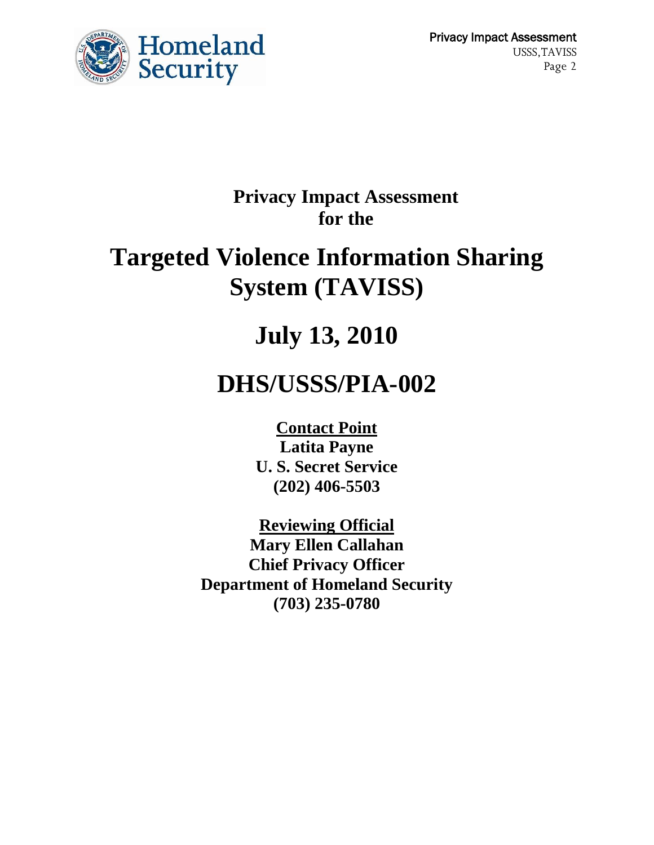

 Privacy Impact Assessment USSS,TAVISS Page 2

## **Privacy Impact Assessment for the**

# **Targeted Violence Information Sharing System (TAVISS)**

# **July 13, 2010**

# **DHS/USSS/PIA-002**

**Contact Point Latita Payne U. S. Secret Service (202) 406-5503**

**Reviewing Official Mary Ellen Callahan Chief Privacy Officer Department of Homeland Security (703) 235-0780**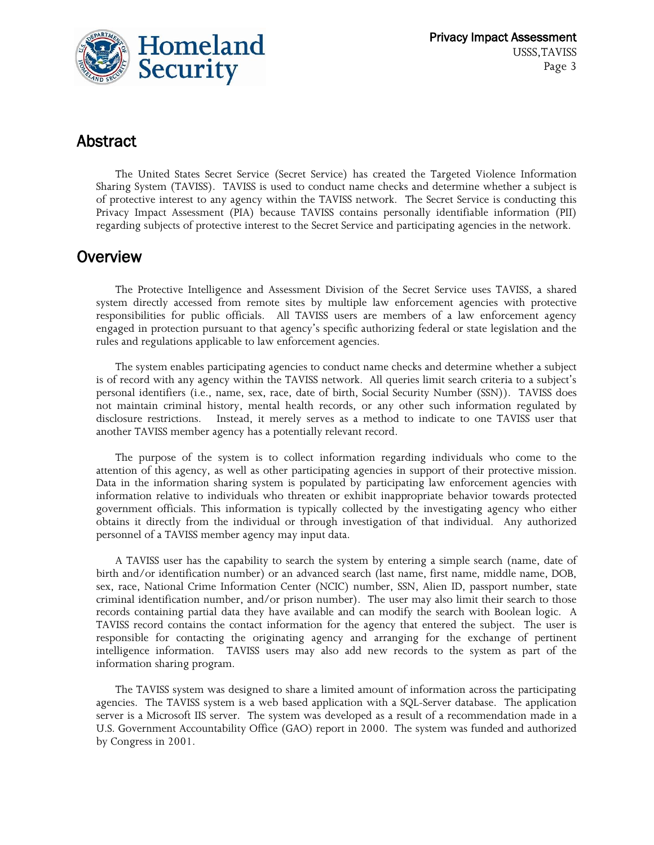

## Abstract

The United States Secret Service (Secret Service) has created the Targeted Violence Information Sharing System (TAVISS). TAVISS is used to conduct name checks and determine whether a subject is of protective interest to any agency within the TAVISS network. The Secret Service is conducting this Privacy Impact Assessment (PIA) because TAVISS contains personally identifiable information (PII) regarding subjects of protective interest to the Secret Service and participating agencies in the network.

### **Overview**

The Protective Intelligence and Assessment Division of the Secret Service uses TAVISS, a shared system directly accessed from remote sites by multiple law enforcement agencies with protective responsibilities for public officials. All TAVISS users are members of a law enforcement agency engaged in protection pursuant to that agency's specific authorizing federal or state legislation and the rules and regulations applicable to law enforcement agencies.

The system enables participating agencies to conduct name checks and determine whether a subject is of record with any agency within the TAVISS network. All queries limit search criteria to a subject's personal identifiers (i.e., name, sex, race, date of birth, Social Security Number (SSN)). TAVISS does not maintain criminal history, mental health records, or any other such information regulated by disclosure restrictions. Instead, it merely serves as a method to indicate to one TAVISS user that another TAVISS member agency has a potentially relevant record.

The purpose of the system is to collect information regarding individuals who come to the attention of this agency, as well as other participating agencies in support of their protective mission. Data in the information sharing system is populated by participating law enforcement agencies with information relative to individuals who threaten or exhibit inappropriate behavior towards protected government officials. This information is typically collected by the investigating agency who either obtains it directly from the individual or through investigation of that individual. Any authorized personnel of a TAVISS member agency may input data.

A TAVISS user has the capability to search the system by entering a simple search (name, date of birth and/or identification number) or an advanced search (last name, first name, middle name, DOB, sex, race, National Crime Information Center (NCIC) number, SSN, Alien ID, passport number, state criminal identification number, and/or prison number). The user may also limit their search to those records containing partial data they have available and can modify the search with Boolean logic. A TAVISS record contains the contact information for the agency that entered the subject. The user is responsible for contacting the originating agency and arranging for the exchange of pertinent intelligence information. TAVISS users may also add new records to the system as part of the information sharing program.

The TAVISS system was designed to share a limited amount of information across the participating agencies. The TAVISS system is a web based application with a SQL-Server database. The application server is a Microsoft IIS server. The system was developed as a result of a recommendation made in a U.S. Government Accountability Office (GAO) report in 2000. The system was funded and authorized by Congress in 2001.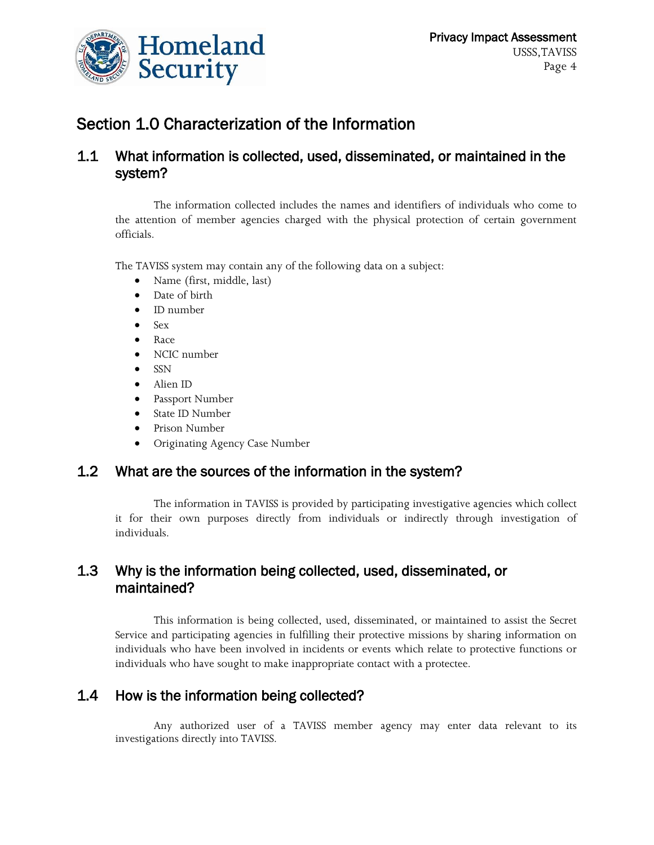

## Section 1.0 Characterization of the Information

#### 1.1 What information is collected, used, disseminated, or maintained in the system?

The information collected includes the names and identifiers of individuals who come to the attention of member agencies charged with the physical protection of certain government officials.

The TAVISS system may contain any of the following data on a subject:

- Name (first, middle, last)
- Date of birth
- ID number
- $\bullet$  Sex
- Race
- NCIC number
- $\bullet$  SSN
- Alien ID
- Passport Number
- State ID Number
- Prison Number
- Originating Agency Case Number

#### 1.2 What are the sources of the information in the system?

The information in TAVISS is provided by participating investigative agencies which collect it for their own purposes directly from individuals or indirectly through investigation of individuals.

#### 1.3 Why is the information being collected, used, disseminated, or maintained?

This information is being collected, used, disseminated, or maintained to assist the Secret Service and participating agencies in fulfilling their protective missions by sharing information on individuals who have been involved in incidents or events which relate to protective functions or individuals who have sought to make inappropriate contact with a protectee.

#### 1.4 How is the information being collected?

Any authorized user of a TAVISS member agency may enter data relevant to its investigations directly into TAVISS.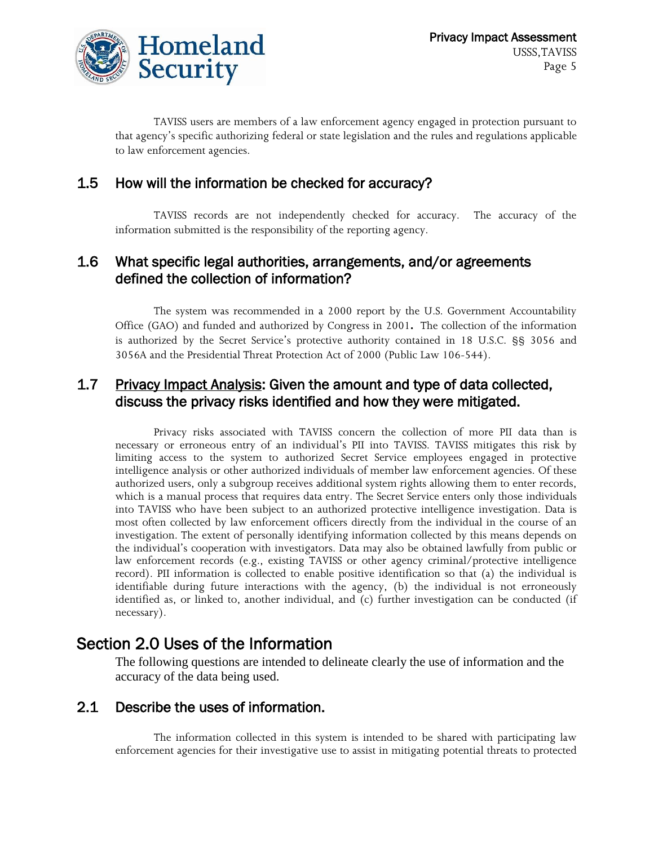

TAVISS users are members of a law enforcement agency engaged in protection pursuant to that agency's specific authorizing federal or state legislation and the rules and regulations applicable to law enforcement agencies.

#### 1.5 How will the information be checked for accuracy?

TAVISS records are not independently checked for accuracy. The accuracy of the information submitted is the responsibility of the reporting agency.

#### 1.6 What specific legal authorities, arrangements, and/or agreements defined the collection of information?

The system was recommended in a 2000 report by the U.S. Government Accountability Office (GAO) and funded and authorized by Congress in 2001**.** The collection of the information is authorized by the Secret Service's protective authority contained in 18 U.S.C. §§ 3056 and 3056A and the Presidential Threat Protection Act of 2000 (Public Law 106-544).

#### 1.7 Privacy Impact Analysis: Given the amount and type of data collected, discuss the privacy risks identified and how they were mitigated.

Privacy risks associated with TAVISS concern the collection of more PII data than is necessary or erroneous entry of an individual's PII into TAVISS. TAVISS mitigates this risk by limiting access to the system to authorized Secret Service employees engaged in protective intelligence analysis or other authorized individuals of member law enforcement agencies. Of these authorized users, only a subgroup receives additional system rights allowing them to enter records, which is a manual process that requires data entry. The Secret Service enters only those individuals into TAVISS who have been subject to an authorized protective intelligence investigation. Data is most often collected by law enforcement officers directly from the individual in the course of an investigation. The extent of personally identifying information collected by this means depends on the individual's cooperation with investigators. Data may also be obtained lawfully from public or law enforcement records (e.g., existing TAVISS or other agency criminal/protective intelligence record). PII information is collected to enable positive identification so that (a) the individual is identifiable during future interactions with the agency, (b) the individual is not erroneously identified as, or linked to, another individual, and (c) further investigation can be conducted (if necessary).

### Section 2.0 Uses of the Information

The following questions are intended to delineate clearly the use of information and the accuracy of the data being used.

#### 2.1 Describe the uses of information.

The information collected in this system is intended to be shared with participating law enforcement agencies for their investigative use to assist in mitigating potential threats to protected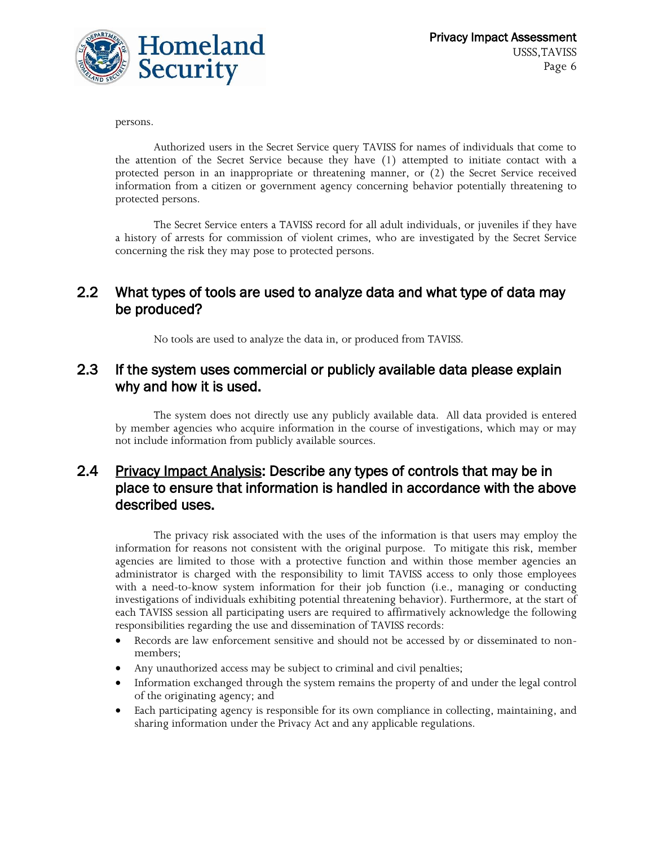

persons.

Authorized users in the Secret Service query TAVISS for names of individuals that come to the attention of the Secret Service because they have (1) attempted to initiate contact with a protected person in an inappropriate or threatening manner, or (2) the Secret Service received information from a citizen or government agency concerning behavior potentially threatening to protected persons.

The Secret Service enters a TAVISS record for all adult individuals, or juveniles if they have a history of arrests for commission of violent crimes, who are investigated by the Secret Service concerning the risk they may pose to protected persons.

#### 2.2 What types of tools are used to analyze data and what type of data may be produced?

No tools are used to analyze the data in, or produced from TAVISS.

#### 2.3 If the system uses commercial or publicly available data please explain why and how it is used.

The system does not directly use any publicly available data. All data provided is entered by member agencies who acquire information in the course of investigations, which may or may not include information from publicly available sources.

#### 2.4 Privacy Impact Analysis: Describe any types of controls that may be in place to ensure that information is handled in accordance with the above described uses.

The privacy risk associated with the uses of the information is that users may employ the information for reasons not consistent with the original purpose. To mitigate this risk, member agencies are limited to those with a protective function and within those member agencies an administrator is charged with the responsibility to limit TAVISS access to only those employees with a need-to-know system information for their job function (i.e., managing or conducting investigations of individuals exhibiting potential threatening behavior). Furthermore, at the start of each TAVISS session all participating users are required to affirmatively acknowledge the following responsibilities regarding the use and dissemination of TAVISS records:

- Records are law enforcement sensitive and should not be accessed by or disseminated to nonmembers;
- Any unauthorized access may be subject to criminal and civil penalties;
- Information exchanged through the system remains the property of and under the legal control of the originating agency; and
- Each participating agency is responsible for its own compliance in collecting, maintaining, and sharing information under the Privacy Act and any applicable regulations.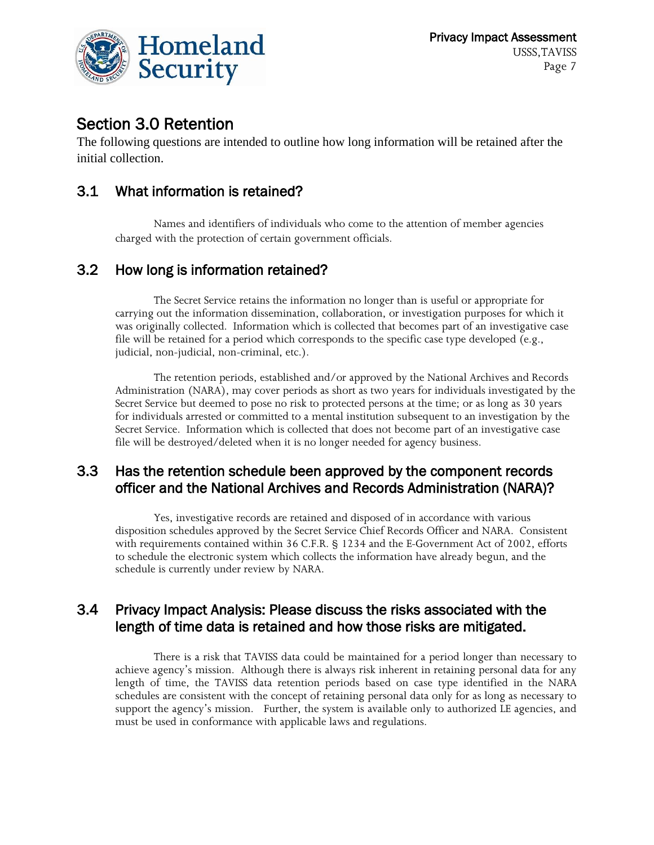

## Section 3.0 Retention

The following questions are intended to outline how long information will be retained after the initial collection.

#### 3.1 What information is retained?

Names and identifiers of individuals who come to the attention of member agencies charged with the protection of certain government officials.

#### 3.2 How long is information retained?

The Secret Service retains the information no longer than is useful or appropriate for carrying out the information dissemination, collaboration, or investigation purposes for which it was originally collected. Information which is collected that becomes part of an investigative case file will be retained for a period which corresponds to the specific case type developed (e.g., judicial, non-judicial, non-criminal, etc.).

The retention periods, established and/or approved by the National Archives and Records Administration (NARA), may cover periods as short as two years for individuals investigated by the Secret Service but deemed to pose no risk to protected persons at the time; or as long as 30 years for individuals arrested or committed to a mental institution subsequent to an investigation by the Secret Service. Information which is collected that does not become part of an investigative case file will be destroyed/deleted when it is no longer needed for agency business.

#### 3.3 Has the retention schedule been approved by the component records officer and the National Archives and Records Administration (NARA)?

Yes, investigative records are retained and disposed of in accordance with various disposition schedules approved by the Secret Service Chief Records Officer and NARA. Consistent with requirements contained within 36 C.F.R. § 1234 and the E-Government Act of 2002, efforts to schedule the electronic system which collects the information have already begun, and the schedule is currently under review by NARA.

#### 3.4 Privacy Impact Analysis: Please discuss the risks associated with the length of time data is retained and how those risks are mitigated.

There is a risk that TAVISS data could be maintained for a period longer than necessary to achieve agency's mission. Although there is always risk inherent in retaining personal data for any length of time, the TAVISS data retention periods based on case type identified in the NARA schedules are consistent with the concept of retaining personal data only for as long as necessary to support the agency's mission. Further, the system is available only to authorized LE agencies, and must be used in conformance with applicable laws and regulations.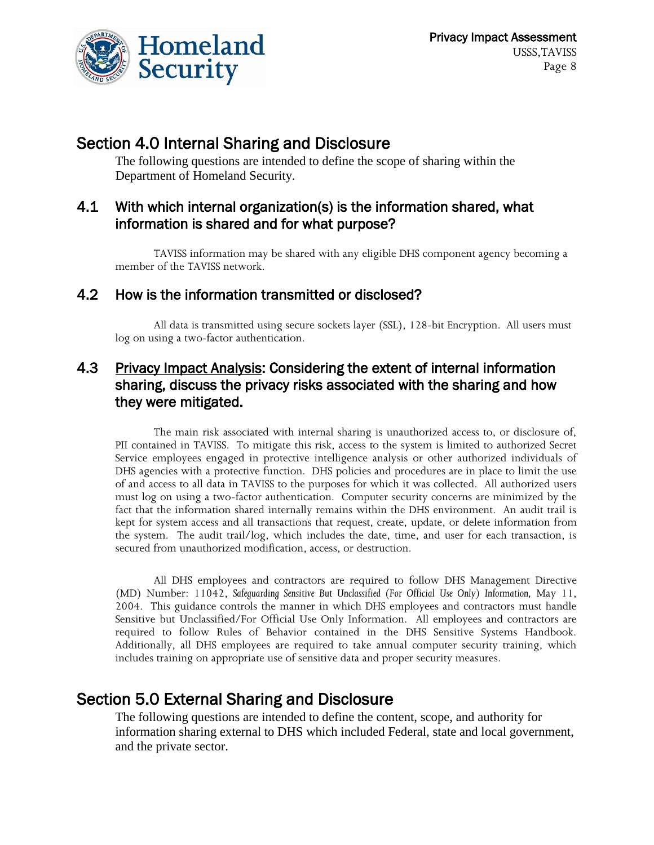

## Section 4.0 Internal Sharing and Disclosure

The following questions are intended to define the scope of sharing within the Department of Homeland Security.

#### 4.1 With which internal organization(s) is the information shared, what information is shared and for what purpose?

TAVISS information may be shared with any eligible DHS component agency becoming a member of the TAVISS network.

#### 4.2 How is the information transmitted or disclosed?

All data is transmitted using secure sockets layer (SSL), 128-bit Encryption. All users must log on using a two-factor authentication.

#### 4.3 Privacy Impact Analysis: Considering the extent of internal information sharing, discuss the privacy risks associated with the sharing and how they were mitigated.

The main risk associated with internal sharing is unauthorized access to, or disclosure of, PII contained in TAVISS. To mitigate this risk, access to the system is limited to authorized Secret Service employees engaged in protective intelligence analysis or other authorized individuals of DHS agencies with a protective function. DHS policies and procedures are in place to limit the use of and access to all data in TAVISS to the purposes for which it was collected. All authorized users must log on using a two-factor authentication. Computer security concerns are minimized by the fact that the information shared internally remains within the DHS environment. An audit trail is kept for system access and all transactions that request, create, update, or delete information from the system. The audit trail/log, which includes the date, time, and user for each transaction, is secured from unauthorized modification, access, or destruction.

All DHS employees and contractors are required to follow DHS Management Directive (MD) Number: 11042, *Safeguarding Sensitive But Unclassified (For Official Use Only) Information,* May 11, 2004. This guidance controls the manner in which DHS employees and contractors must handle Sensitive but Unclassified/For Official Use Only Information. All employees and contractors are required to follow Rules of Behavior contained in the DHS Sensitive Systems Handbook. Additionally, all DHS employees are required to take annual computer security training, which includes training on appropriate use of sensitive data and proper security measures.

### Section 5.0 External Sharing and Disclosure

The following questions are intended to define the content, scope, and authority for information sharing external to DHS which included Federal, state and local government, and the private sector.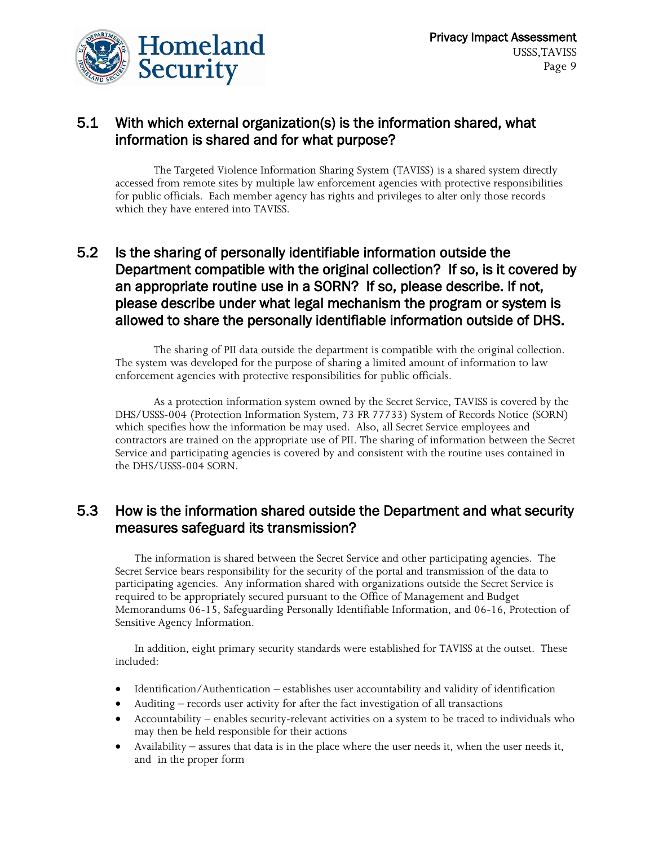

#### 5.1 With which external organization(s) is the information shared, what information is shared and for what purpose?

The Targeted Violence Information Sharing System (TAVISS) is a shared system directly accessed from remote sites by multiple law enforcement agencies with protective responsibilities for public officials. Each member agency has rights and privileges to alter only those records which they have entered into TAVISS.

#### 5.2 Is the sharing of personally identifiable information outside the Department compatible with the original collection? If so, is it covered by an appropriate routine use in a SORN? If so, please describe. If not, please describe under what legal mechanism the program or system is allowed to share the personally identifiable information outside of DHS.

The sharing of PII data outside the department is compatible with the original collection. The system was developed for the purpose of sharing a limited amount of information to law enforcement agencies with protective responsibilities for public officials.

As a protection information system owned by the Secret Service, TAVISS is covered by the DHS/USSS-004 (Protection Information System, 73 FR 77733) System of Records Notice (SORN) which specifies how the information be may used. Also, all Secret Service employees and contractors are trained on the appropriate use of PII. The sharing of information between the Secret Service and participating agencies is covered by and consistent with the routine uses contained in the DHS/USSS-004 SORN.

#### 5.3 How is the information shared outside the Department and what security measures safeguard its transmission?

The information is shared between the Secret Service and other participating agencies. The Secret Service bears responsibility for the security of the portal and transmission of the data to participating agencies. Any information shared with organizations outside the Secret Service is required to be appropriately secured pursuant to the Office of Management and Budget Memorandums 06-15, Safeguarding Personally Identifiable Information, and 06-16, Protection of Sensitive Agency Information.

In addition, eight primary security standards were established for TAVISS at the outset. These included:

- Identification/Authentication establishes user accountability and validity of identification
- Auditing records user activity for after the fact investigation of all transactions
- Accountability enables security-relevant activities on a system to be traced to individuals who may then be held responsible for their actions
- Availability assures that data is in the place where the user needs it, when the user needs it, and in the proper form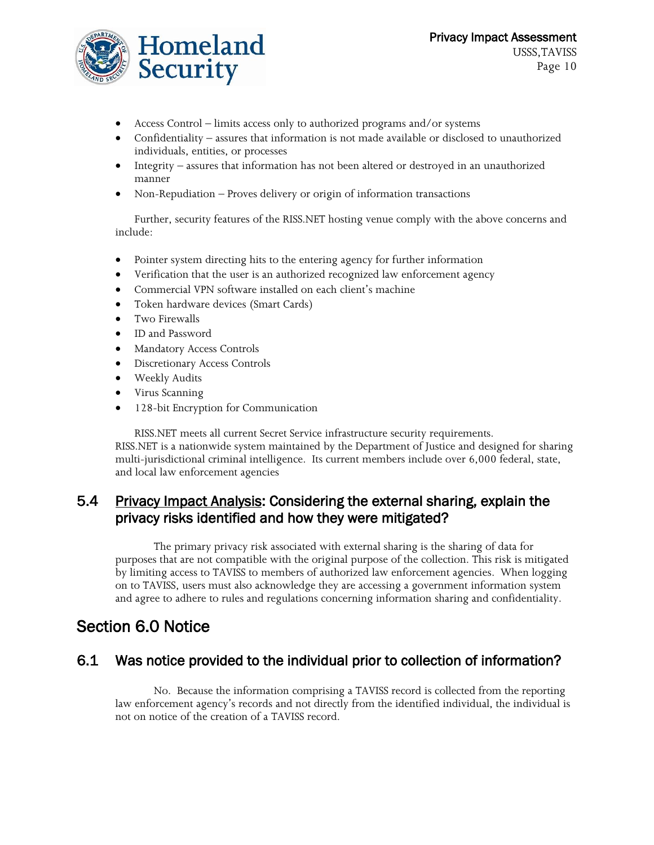

- Access Control limits access only to authorized programs and/or systems
- Confidentiality assures that information is not made available or disclosed to unauthorized individuals, entities, or processes
- Integrity assures that information has not been altered or destroyed in an unauthorized manner
- Non-Repudiation Proves delivery or origin of information transactions

Further, security features of the RISS.NET hosting venue comply with the above concerns and include:

- Pointer system directing hits to the entering agency for further information
- Verification that the user is an authorized recognized law enforcement agency
- Commercial VPN software installed on each client's machine
- Token hardware devices (Smart Cards)
- **•** Two Firewalls
- ID and Password
- Mandatory Access Controls
- Discretionary Access Controls
- Weekly Audits
- Virus Scanning
- 128-bit Encryption for Communication

RISS.NET meets all current Secret Service infrastructure security requirements. RISS.NET is a nationwide system maintained by the Department of Justice and designed for sharing multi-jurisdictional criminal intelligence. Its current members include over 6,000 federal, state, and local law enforcement agencies

#### 5.4 Privacy Impact Analysis: Considering the external sharing, explain the privacy risks identified and how they were mitigated?

The primary privacy risk associated with external sharing is the sharing of data for purposes that are not compatible with the original purpose of the collection. This risk is mitigated by limiting access to TAVISS to members of authorized law enforcement agencies. When logging on to TAVISS, users must also acknowledge they are accessing a government information system and agree to adhere to rules and regulations concerning information sharing and confidentiality.

## Section 6.0 Notice

#### 6.1 Was notice provided to the individual prior to collection of information?

No. Because the information comprising a TAVISS record is collected from the reporting law enforcement agency's records and not directly from the identified individual, the individual is not on notice of the creation of a TAVISS record.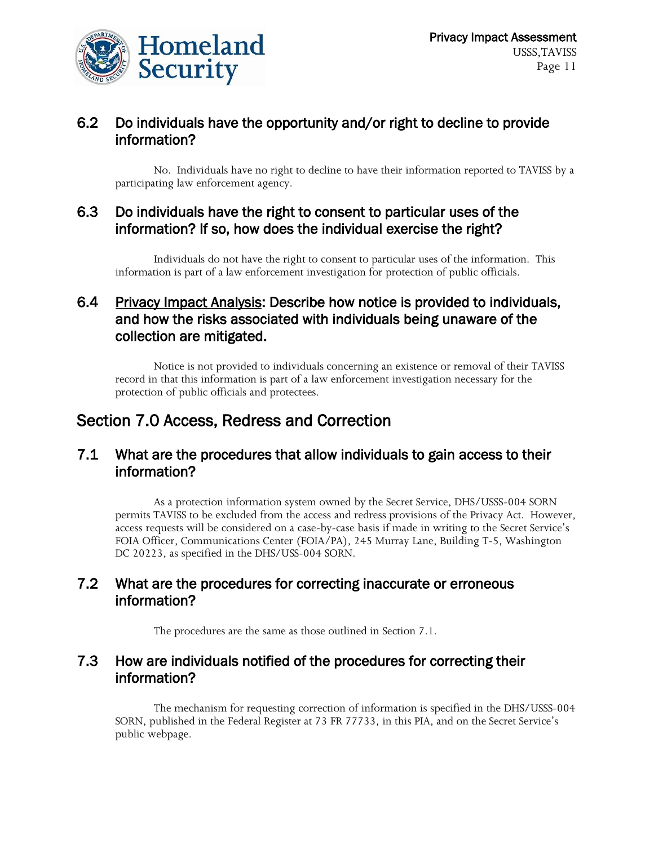

#### 6.2 Do individuals have the opportunity and/or right to decline to provide information?

No. Individuals have no right to decline to have their information reported to TAVISS by a participating law enforcement agency.

#### 6.3 Do individuals have the right to consent to particular uses of the information? If so, how does the individual exercise the right?

Individuals do not have the right to consent to particular uses of the information. This information is part of a law enforcement investigation for protection of public officials.

#### 6.4 Privacy Impact Analysis: Describe how notice is provided to individuals, and how the risks associated with individuals being unaware of the collection are mitigated.

Notice is not provided to individuals concerning an existence or removal of their TAVISS record in that this information is part of a law enforcement investigation necessary for the protection of public officials and protectees.

## Section 7.0 Access, Redress and Correction

#### 7.1 What are the procedures that allow individuals to gain access to their information?

As a protection information system owned by the Secret Service, DHS/USSS-004 SORN permits TAVISS to be excluded from the access and redress provisions of the Privacy Act. However, access requests will be considered on a case-by-case basis if made in writing to the Secret Service's FOIA Officer, Communications Center (FOIA/PA), 245 Murray Lane, Building T-5, Washington DC 20223, as specified in the DHS/USS-004 SORN.

#### 7.2 What are the procedures for correcting inaccurate or erroneous information?

The procedures are the same as those outlined in Section 7.1.

#### 7.3 How are individuals notified of the procedures for correcting their information?

The mechanism for requesting correction of information is specified in the DHS/USSS-004 SORN, published in the Federal Register at 73 FR 77733, in this PIA, and on the Secret Service's public webpage.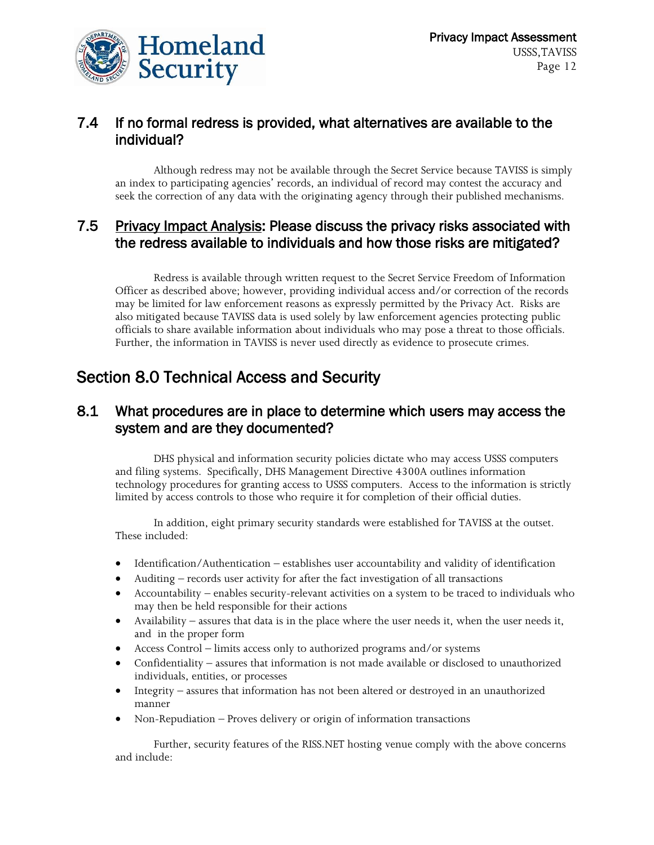

#### 7.4 If no formal redress is provided, what alternatives are available to the individual?

Although redress may not be available through the Secret Service because TAVISS is simply an index to participating agencies' records, an individual of record may contest the accuracy and seek the correction of any data with the originating agency through their published mechanisms.

#### 7.5 Privacy Impact Analysis: Please discuss the privacy risks associated with the redress available to individuals and how those risks are mitigated?

Redress is available through written request to the Secret Service Freedom of Information Officer as described above; however, providing individual access and/or correction of the records may be limited for law enforcement reasons as expressly permitted by the Privacy Act. Risks are also mitigated because TAVISS data is used solely by law enforcement agencies protecting public officials to share available information about individuals who may pose a threat to those officials. Further, the information in TAVISS is never used directly as evidence to prosecute crimes.

## Section 8.0 Technical Access and Security

#### 8.1 What procedures are in place to determine which users may access the system and are they documented?

DHS physical and information security policies dictate who may access USSS computers and filing systems. Specifically, DHS Management Directive 4300A outlines information technology procedures for granting access to USSS computers. Access to the information is strictly limited by access controls to those who require it for completion of their official duties.

In addition, eight primary security standards were established for TAVISS at the outset. These included:

- Identification/Authentication establishes user accountability and validity of identification
- Auditing records user activity for after the fact investigation of all transactions
- Accountability enables security-relevant activities on a system to be traced to individuals who may then be held responsible for their actions
- Availability assures that data is in the place where the user needs it, when the user needs it, and in the proper form
- Access Control limits access only to authorized programs and/or systems
- Confidentiality assures that information is not made available or disclosed to unauthorized individuals, entities, or processes
- Integrity assures that information has not been altered or destroyed in an unauthorized manner
- Non-Repudiation Proves delivery or origin of information transactions

Further, security features of the RISS.NET hosting venue comply with the above concerns and include: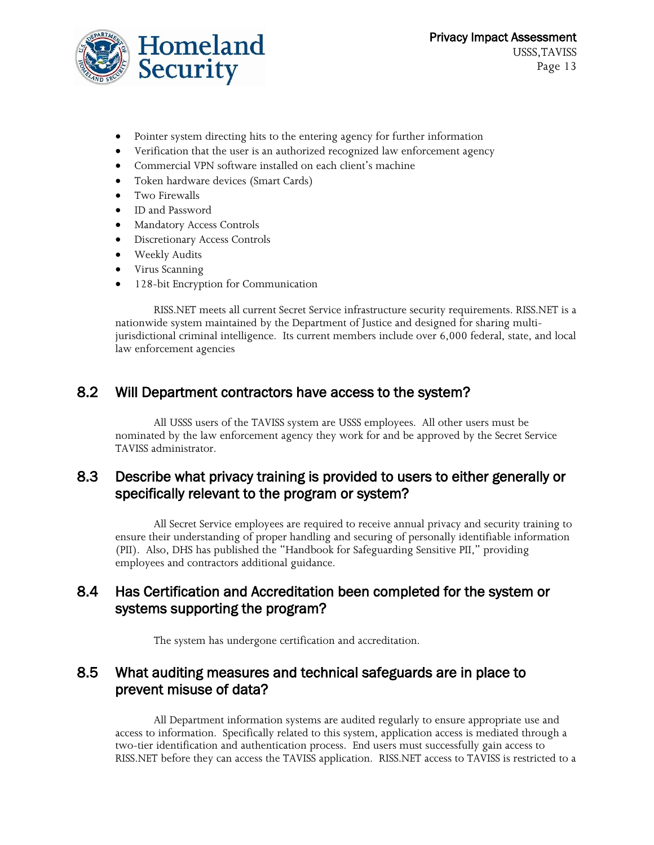

- Pointer system directing hits to the entering agency for further information
- Verification that the user is an authorized recognized law enforcement agency
- Commercial VPN software installed on each client's machine
- Token hardware devices (Smart Cards)
- Two Firewalls
- ID and Password
- Mandatory Access Controls
- Discretionary Access Controls
- Weekly Audits
- Virus Scanning
- 128-bit Encryption for Communication

RISS.NET meets all current Secret Service infrastructure security requirements. RISS.NET is a nationwide system maintained by the Department of Justice and designed for sharing multijurisdictional criminal intelligence. Its current members include over 6,000 federal, state, and local law enforcement agencies

#### 8.2 Will Department contractors have access to the system?

All USSS users of the TAVISS system are USSS employees. All other users must be nominated by the law enforcement agency they work for and be approved by the Secret Service TAVISS administrator.

#### 8.3 Describe what privacy training is provided to users to either generally or specifically relevant to the program or system?

All Secret Service employees are required to receive annual privacy and security training to ensure their understanding of proper handling and securing of personally identifiable information (PII). Also, DHS has published the "Handbook for Safeguarding Sensitive PII," providing employees and contractors additional guidance.

#### 8.4 Has Certification and Accreditation been completed for the system or systems supporting the program?

The system has undergone certification and accreditation.

#### 8.5 What auditing measures and technical safeguards are in place to prevent misuse of data?

All Department information systems are audited regularly to ensure appropriate use and access to information. Specifically related to this system, application access is mediated through a two-tier identification and authentication process. End users must successfully gain access to RISS.NET before they can access the TAVISS application. RISS.NET access to TAVISS is restricted to a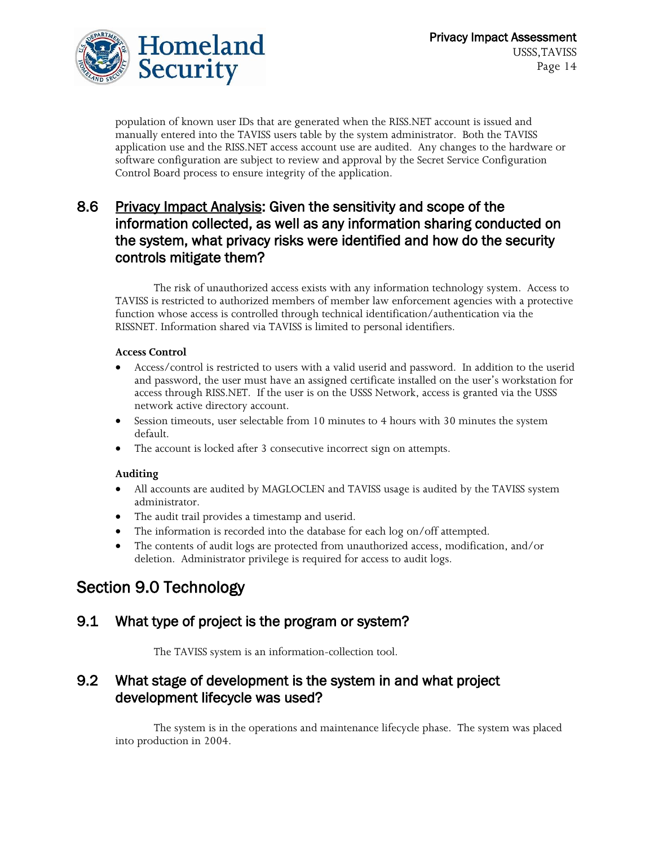

population of known user IDs that are generated when the RISS.NET account is issued and manually entered into the TAVISS users table by the system administrator. Both the TAVISS application use and the RISS.NET access account use are audited. Any changes to the hardware or software configuration are subject to review and approval by the Secret Service Configuration Control Board process to ensure integrity of the application.

#### 8.6 Privacy Impact Analysis: Given the sensitivity and scope of the information collected, as well as any information sharing conducted on the system, what privacy risks were identified and how do the security controls mitigate them?

The risk of unauthorized access exists with any information technology system. Access to TAVISS is restricted to authorized members of member law enforcement agencies with a protective function whose access is controlled through technical identification/authentication via the RISSNET. Information shared via TAVISS is limited to personal identifiers.

#### **Access Control**

- Access/control is restricted to users with a valid userid and password. In addition to the userid and password, the user must have an assigned certificate installed on the user's workstation for access through RISS.NET. If the user is on the USSS Network, access is granted via the USSS network active directory account.
- Session timeouts, user selectable from 10 minutes to 4 hours with 30 minutes the system default.
- The account is locked after 3 consecutive incorrect sign on attempts.

#### **Auditing**

- All accounts are audited by MAGLOCLEN and TAVISS usage is audited by the TAVISS system administrator.
- The audit trail provides a timestamp and userid.
- The information is recorded into the database for each log on/off attempted.
- The contents of audit logs are protected from unauthorized access, modification, and/or deletion. Administrator privilege is required for access to audit logs.

## Section 9.0 Technology

#### 9.1 What type of project is the program or system?

The TAVISS system is an information-collection tool.

#### 9.2 What stage of development is the system in and what project development lifecycle was used?

The system is in the operations and maintenance lifecycle phase. The system was placed into production in 2004.